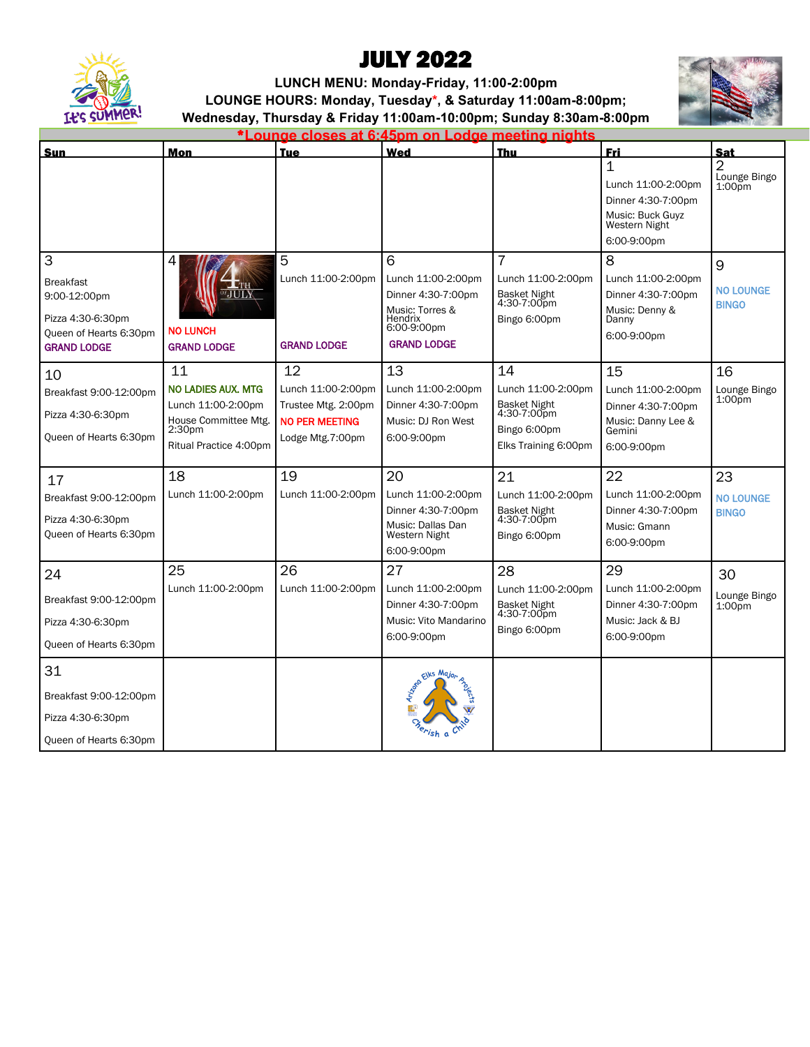

## JULY 2022

**LUNCH MENU: Monday-Friday, 11:00-2:00pm LOUNGE HOURS: Monday, Tuesday\*, & Saturday 11:00am-8:00pm; Wednesday, Thursday & Friday 11:00am-10:00pm; Sunday 8:30am-8:00pm** 



\***Lounge closes at 6:45pm on Lodge meeting nights** 

| Sun                                                                                                        | Mon                                                                                                                           | <b>Tue</b>                                                                                   | Wed                                                                                                              | <b>Thu</b>                                                                                      | <u>Fri</u>                                                                                        | Sat                                    |
|------------------------------------------------------------------------------------------------------------|-------------------------------------------------------------------------------------------------------------------------------|----------------------------------------------------------------------------------------------|------------------------------------------------------------------------------------------------------------------|-------------------------------------------------------------------------------------------------|---------------------------------------------------------------------------------------------------|----------------------------------------|
|                                                                                                            |                                                                                                                               |                                                                                              |                                                                                                                  |                                                                                                 | 1<br>Lunch 11:00-2:00pm<br>Dinner 4:30-7:00pm<br>Music: Buck Guyz<br>Western Night<br>6:00-9:00pm | 2<br>Lounge Bingo<br>1:00pm            |
| 3<br><b>Breakfast</b><br>9:00-12:00pm<br>Pizza 4:30-6:30pm<br>Queen of Hearts 6:30pm<br><b>GRAND LODGE</b> | 4<br>'JULY<br><b>NO LUNCH</b><br><b>GRAND LODGE</b>                                                                           | 5<br>Lunch 11:00-2:00pm<br><b>GRAND LODGE</b>                                                | 6<br>Lunch 11:00-2:00pm<br>Dinner 4:30-7:00pm<br>Music: Torres &<br>Hendrix<br>6:00-9:00pm<br><b>GRAND LODGE</b> | $\overline{7}$<br>Lunch 11:00-2:00pm<br>Basket Night<br>4:30-7:00pm<br>Bingo 6:00pm             | 8<br>Lunch 11:00-2:00pm<br>Dinner 4:30-7:00pm<br>Music: Denny &<br>Danny<br>6:00-9:00pm           | 9<br><b>NO LOUNGE</b><br><b>BINGO</b>  |
| 10<br>Breakfast 9:00-12:00pm<br>Pizza 4:30-6:30pm<br>Queen of Hearts 6:30pm                                | 11<br><b>NO LADIES AUX, MTG</b><br>Lunch 11:00-2:00pm<br>House Committee Mtg.<br>2:30 <sub>pm</sub><br>Ritual Practice 4:00pm | 12<br>Lunch 11:00-2:00pm<br>Trustee Mtg. 2:00pm<br><b>NO PER MEETING</b><br>Lodge Mtg.7:00pm | 13<br>Lunch 11:00-2:00pm<br>Dinner 4:30-7:00pm<br>Music: DJ Ron West<br>6:00-9:00pm                              | 14<br>Lunch 11:00-2:00pm<br>Basket Night<br>4:30-7:00pm<br>Bingo 6:00pm<br>Elks Training 6:00pm | 15<br>Lunch 11:00-2:00pm<br>Dinner 4:30-7:00pm<br>Music: Danny Lee &<br>Gemini<br>6:00-9:00pm     | 16<br>Lounge Bingo<br>$1:00p$ m        |
| 17<br>Breakfast 9:00-12:00pm<br>Pizza 4:30-6:30pm<br>Queen of Hearts 6:30pm                                | 18<br>Lunch 11:00-2:00pm                                                                                                      | 19<br>Lunch 11:00-2:00pm                                                                     | 20<br>Lunch 11:00-2:00pm<br>Dinner 4:30-7:00pm<br>Music: Dallas Dan<br>Western Night<br>6:00-9:00pm              | 21<br>Lunch 11:00-2:00pm<br>Basket Night<br>4:30-7:00pm<br>Bingo 6:00pm                         | 22<br>Lunch 11:00-2:00pm<br>Dinner 4:30-7:00pm<br>Music: Gmann<br>6:00-9:00pm                     | 23<br><b>NO LOUNGE</b><br><b>BINGO</b> |
| 24<br>Breakfast 9:00-12:00pm<br>Pizza 4:30-6:30pm<br>Queen of Hearts 6:30pm                                | 25<br>Lunch 11:00-2:00pm                                                                                                      | 26<br>Lunch 11:00-2:00pm                                                                     | 27<br>Lunch 11:00-2:00pm<br>Dinner 4:30-7:00pm<br>Music: Vito Mandarino<br>6:00-9:00pm                           | 28<br>Lunch 11:00-2:00pm<br>Basket Night<br>4:30-7:00pm<br>Bingo 6:00pm                         | 29<br>Lunch 11:00-2:00pm<br>Dinner 4:30-7:00pm<br>Music: Jack & BJ<br>6:00-9:00pm                 | 30<br>Lounge Bingo<br>$1:00p$ m        |
| 31<br>Breakfast 9:00-12:00pm<br>Pizza 4:30-6:30pm<br>Queen of Hearts 6:30pm                                |                                                                                                                               |                                                                                              | Elks Major                                                                                                       |                                                                                                 |                                                                                                   |                                        |